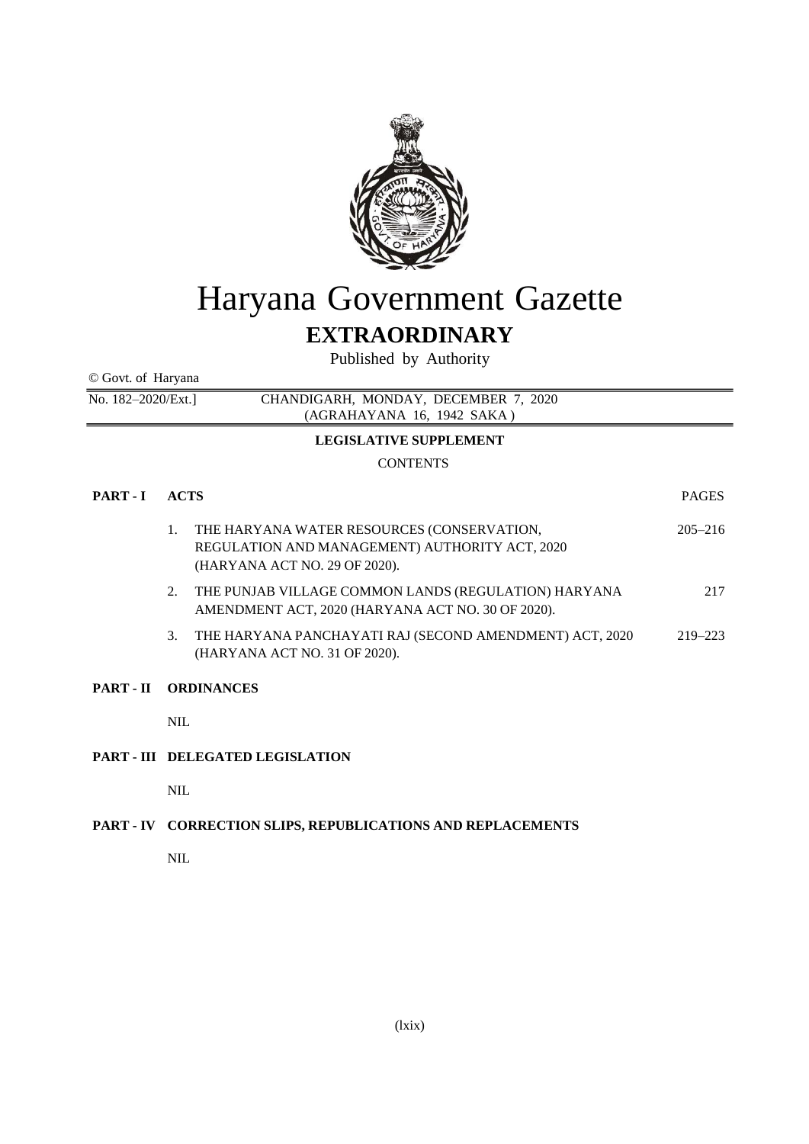

# Haryana Government Gazette

# **EXTRAORDINARY**

Published by Authority

© Govt. of Haryana

No. 182–2020/Ext.] CHANDIGARH, MONDAY, DECEMBER 7, 2020 (AGRAHAYANA 16, 1942 SAKA )

# **LEGISLATIVE SUPPLEMENT**

# **CONTENTS**

| <b>PART - I</b> | <b>ACTS</b>                 |                                                                                                                               | <b>PAGES</b> |
|-----------------|-----------------------------|-------------------------------------------------------------------------------------------------------------------------------|--------------|
|                 | 1.                          | THE HARYANA WATER RESOURCES (CONSERVATION,<br>REGULATION AND MANAGEMENT) AUTHORITY ACT, 2020<br>(HARYANA ACT NO. 29 OF 2020). | $205 - 216$  |
|                 | 2.                          | THE PUNJAB VILLAGE COMMON LANDS (REGULATION) HARYANA<br>AMENDMENT ACT, 2020 (HARYANA ACT NO. 30 OF 2020).                     | 217          |
|                 | 3.                          | THE HARYANA PANCHAYATI RAJ (SECOND AMENDMENT) ACT, 2020<br>(HARYANA ACT NO. 31 OF 2020).                                      | $219 - 223$  |
|                 | <b>PART - II ORDINANCES</b> |                                                                                                                               |              |
|                 | <b>NIL</b>                  |                                                                                                                               |              |
|                 |                             | <b>PART - III DELEGATED LEGISLATION</b>                                                                                       |              |
|                 | NIL.                        |                                                                                                                               |              |

# **PART - IV CORRECTION SLIPS, REPUBLICATIONS AND REPLACEMENTS**

NIL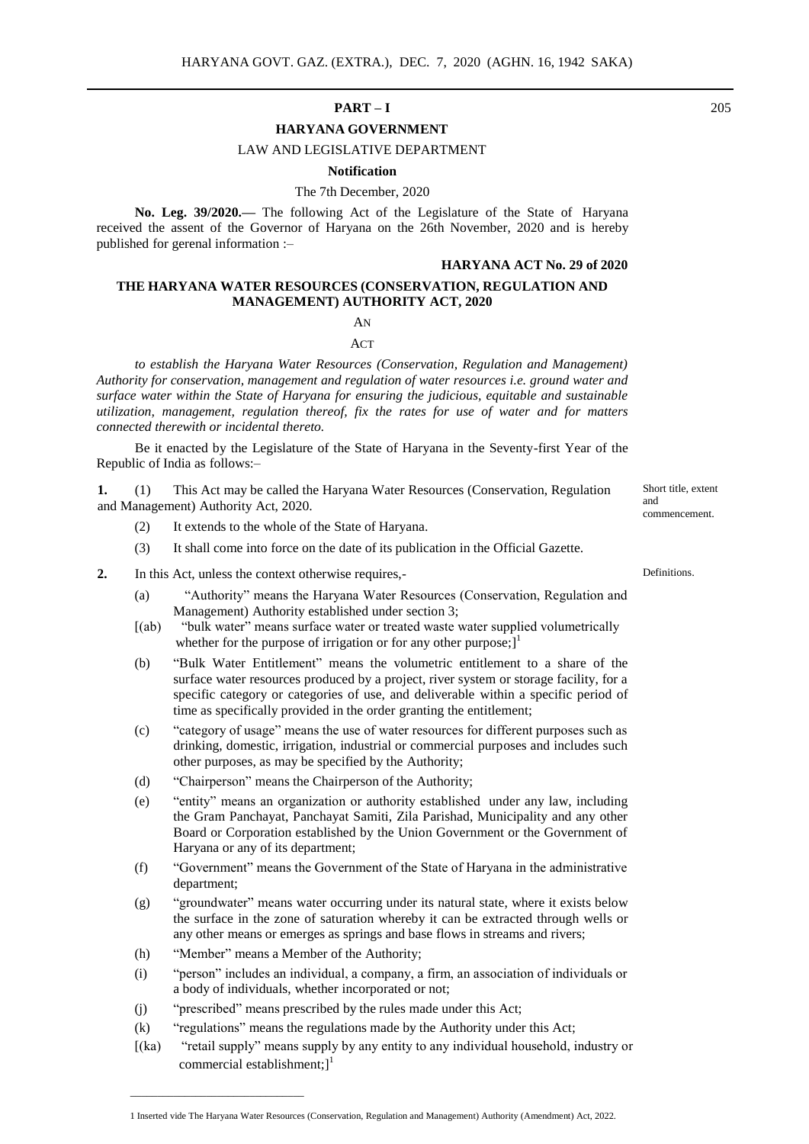# **PART – I** 205

# **HARYANA GOVERNMENT**

# LAW AND LEGISLATIVE DEPARTMENT

#### **Notification**

#### The 7th December, 2020

**No. Leg. 39/2020.—** The following Act of the Legislature of the State of Haryana received the assent of the Governor of Haryana on the 26th November, 2020 and is hereby published for gerenal information :–

#### **HARYANA ACT No. 29 of 2020**

### **THE HARYANA WATER RESOURCES (CONSERVATION, REGULATION AND MANAGEMENT) AUTHORITY ACT, 2020**

#### AN

 $ACT$ 

*to establish the Haryana Water Resources (Conservation, Regulation and Management) Authority for conservation, management and regulation of water resources i.e. ground water and surface water within the State of Haryana for ensuring the judicious, equitable and sustainable utilization, management, regulation thereof, fix the rates for use of water and for matters connected therewith or incidental thereto.*

Be it enacted by the Legislature of the State of Haryana in the Seventy-first Year of the Republic of India as follows:–

**1.** (1) This Act may be called the Haryana Water Resources (Conservation, Regulation and Management) Authority Act, 2020.

- (2) It extends to the whole of the State of Haryana.
- (3) It shall come into force on the date of its publication in the Official Gazette.
- **2.** In this Act, unless the context otherwise requires,-
	- (a) "Authority" means the Haryana Water Resources (Conservation, Regulation and Management) Authority established under section 3;
	- [(ab) "bulk water" means surface water or treated waste water supplied volumetrically whether for the purpose of irrigation or for any other purpose; $]$ <sup>1</sup>
	- (b) "Bulk Water Entitlement" means the volumetric entitlement to a share of the surface water resources produced by a project, river system or storage facility, for a specific category or categories of use, and deliverable within a specific period of time as specifically provided in the order granting the entitlement;
	- (c) "category of usage" means the use of water resources for different purposes such as drinking, domestic, irrigation, industrial or commercial purposes and includes such other purposes, as may be specified by the Authority;
	- (d) "Chairperson" means the Chairperson of the Authority;
	- (e) "entity" means an organization or authority established under any law, including the Gram Panchayat, Panchayat Samiti, Zila Parishad, Municipality and any other Board or Corporation established by the Union Government or the Government of Haryana or any of its department;
	- (f) "Government" means the Government of the State of Haryana in the administrative department;
	- (g) "groundwater" means water occurring under its natural state, where it exists below the surface in the zone of saturation whereby it can be extracted through wells or any other means or emerges as springs and base flows in streams and rivers;
	- (h) "Member" means a Member of the Authority;

 $\mathcal{L}_\text{max}$  and  $\mathcal{L}_\text{max}$  and  $\mathcal{L}_\text{max}$  and  $\mathcal{L}_\text{max}$  and  $\mathcal{L}_\text{max}$ 

- (i) "person" includes an individual, a company, a firm, an association of individuals or a body of individuals, whether incorporated or not;
- (j) "prescribed" means prescribed by the rules made under this Act;
- (k) "regulations" means the regulations made by the Authority under this Act;
- [(ka) "retail supply" means supply by any entity to any individual household, industry or commercial establishment;] 1

**Definitions** 

Short title, extent

commencement.

and

1 Inserted vide The Haryana Water Resources (Conservation, Regulation and Management) Authority (Amendment) Act, 2022.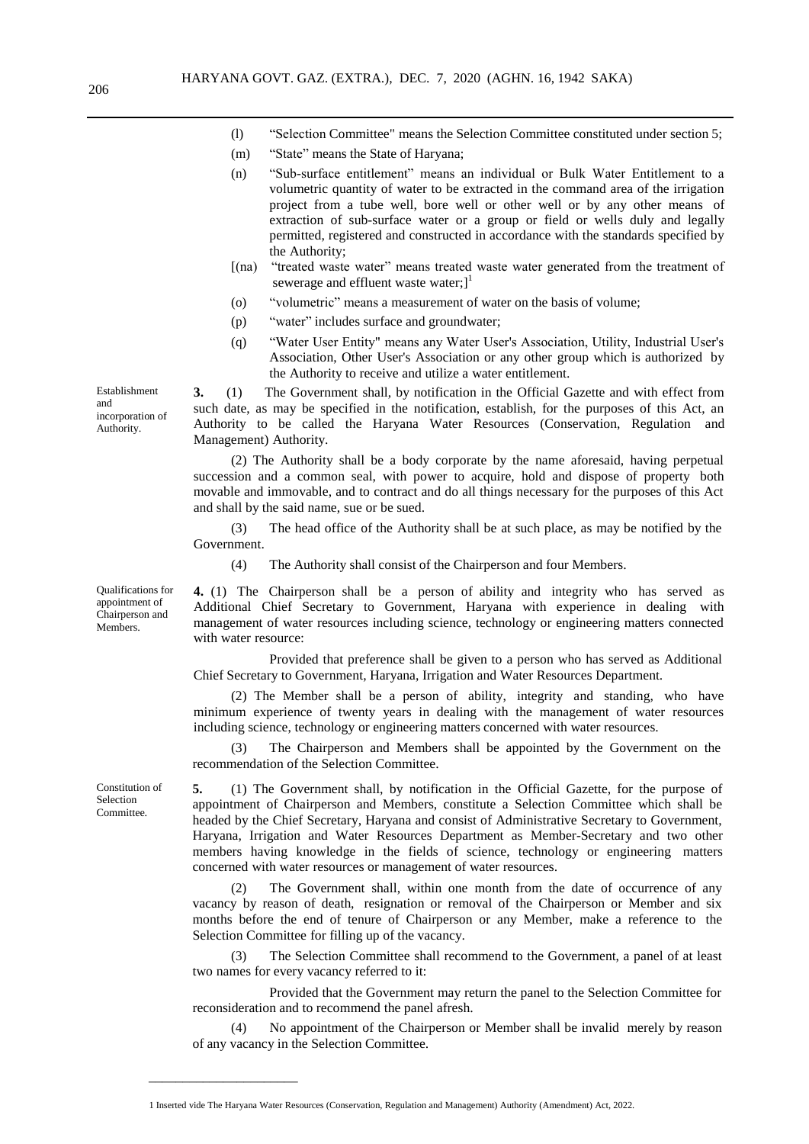- (l) "Selection Committee" means the Selection Committee constituted under section 5;
- (m) "State" means the State of Haryana;
- (n) "Sub-surface entitlement" means an individual or Bulk Water Entitlement to a volumetric quantity of water to be extracted in the command area of the irrigation project from a tube well, bore well or other well or by any other means of extraction of sub-surface water or a group or field or wells duly and legally permitted, registered and constructed in accordance with the standards specified by the Authority;
- [(na) "treated waste water" means treated waste water generated from the treatment of sewerage and effluent waste water;]<sup>1</sup>
- (o) "volumetric" means a measurement of water on the basis of volume;
- (p) "water" includes surface and groundwater;
- (q) "Water User Entity" means any Water User's Association, Utility, Industrial User's Association, Other User's Association or any other group which is authorized by the Authority to receive and utilize a water entitlement.

**3.** (1) The Government shall, by notification in the Official Gazette and with effect from such date, as may be specified in the notification, establish, for the purposes of this Act, an Authority to be called the Haryana Water Resources (Conservation, Regulation and Management) Authority.

(2) The Authority shall be a body corporate by the name aforesaid, having perpetual succession and a common seal, with power to acquire, hold and dispose of property both movable and immovable, and to contract and do all things necessary for the purposes of this Act and shall by the said name, sue or be sued.

(3) The head office of the Authority shall be at such place, as may be notified by the Government.

(4) The Authority shall consist of the Chairperson and four Members.

**4.** (1) The Chairperson shall be a person of ability and integrity who has served as Additional Chief Secretary to Government, Haryana with experience in dealing with management of water resources including science, technology or engineering matters connected with water resource:

Provided that preference shall be given to a person who has served as Additional Chief Secretary to Government, Haryana, Irrigation and Water Resources Department.

(2) The Member shall be a person of ability, integrity and standing, who have minimum experience of twenty years in dealing with the management of water resources including science, technology or engineering matters concerned with water resources.

(3) The Chairperson and Members shall be appointed by the Government on the recommendation of the Selection Committee.

**5.** (1) The Government shall, by notification in the Official Gazette, for the purpose of appointment of Chairperson and Members, constitute a Selection Committee which shall be headed by the Chief Secretary, Haryana and consist of Administrative Secretary to Government, Haryana, Irrigation and Water Resources Department as Member-Secretary and two other members having knowledge in the fields of science, technology or engineering matters concerned with water resources or management of water resources.

(2) The Government shall, within one month from the date of occurrence of any vacancy by reason of death, resignation or removal of the Chairperson or Member and six months before the end of tenure of Chairperson or any Member, make a reference to the Selection Committee for filling up of the vacancy.

The Selection Committee shall recommend to the Government, a panel of at least two names for every vacancy referred to it:

Provided that the Government may return the panel to the Selection Committee for reconsideration and to recommend the panel afresh.

No appointment of the Chairperson or Member shall be invalid merely by reason of any vacancy in the Selection Committee.

Establishment and incorporation of Authority.

Qualifications for appointment of Chairperson and Members.

Constitution of Selection Committee.

 $\frac{1}{\sqrt{2}}$  ,  $\frac{1}{\sqrt{2}}$  ,  $\frac{1}{\sqrt{2}}$  ,  $\frac{1}{\sqrt{2}}$  ,  $\frac{1}{\sqrt{2}}$  ,  $\frac{1}{\sqrt{2}}$  ,  $\frac{1}{\sqrt{2}}$  ,  $\frac{1}{\sqrt{2}}$  ,  $\frac{1}{\sqrt{2}}$  ,  $\frac{1}{\sqrt{2}}$  ,  $\frac{1}{\sqrt{2}}$  ,  $\frac{1}{\sqrt{2}}$  ,  $\frac{1}{\sqrt{2}}$  ,  $\frac{1}{\sqrt{2}}$  ,  $\frac{1}{\sqrt{2}}$ 

 <sup>1</sup> Inserted vide The Haryana Water Resources (Conservation, Regulation and Management) Authority (Amendment) Act, 2022.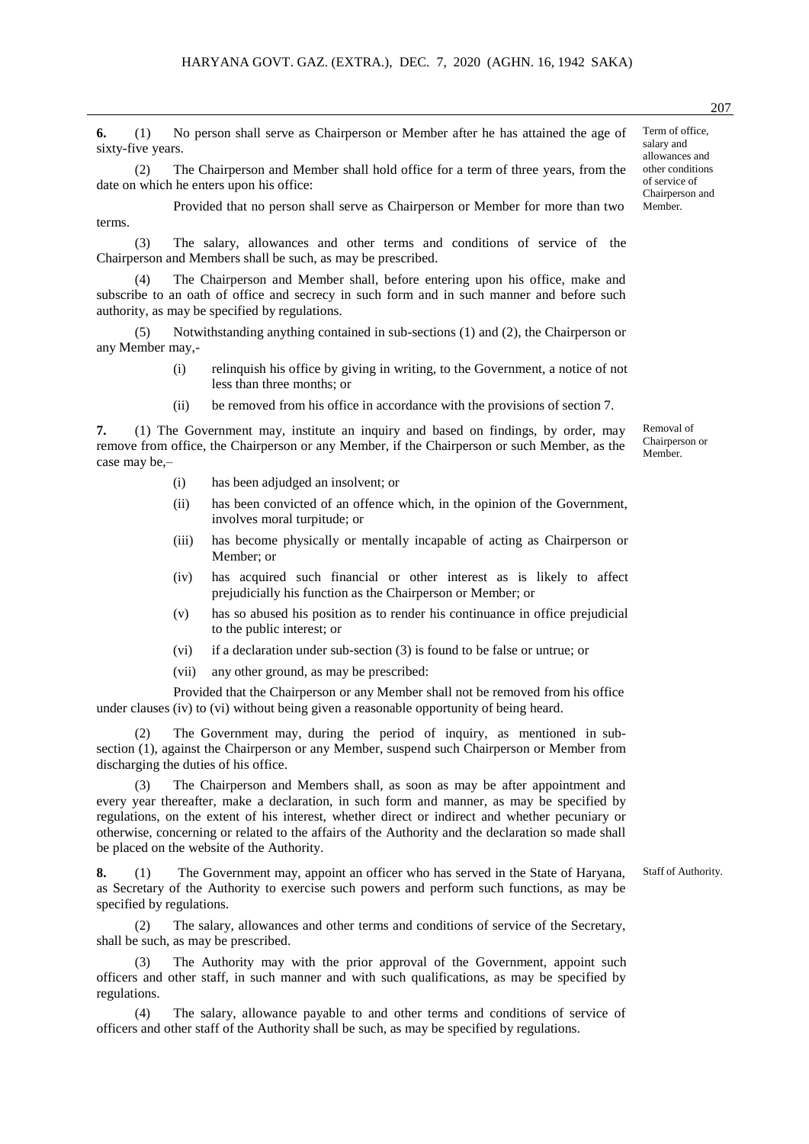**6.** (1) No person shall serve as Chairperson or Member after he has attained the age of sixty-five years.

(2) The Chairperson and Member shall hold office for a term of three years, from the date on which he enters upon his office:

Provided that no person shall serve as Chairperson or Member for more than two terms.

(3) The salary, allowances and other terms and conditions of service of the Chairperson and Members shall be such, as may be prescribed.

(4) The Chairperson and Member shall, before entering upon his office, make and subscribe to an oath of office and secrecy in such form and in such manner and before such authority, as may be specified by regulations.

(5) Notwithstanding anything contained in sub-sections (1) and (2), the Chairperson or any Member may,-

- (i) relinquish his office by giving in writing, to the Government, a notice of not less than three months; or
- (ii) be removed from his office in accordance with the provisions of section 7.

**7.** (1) The Government may, institute an inquiry and based on findings, by order, may remove from office, the Chairperson or any Member, if the Chairperson or such Member, as the case may be,–

- (i) has been adjudged an insolvent; or
- (ii) has been convicted of an offence which, in the opinion of the Government, involves moral turpitude; or
- (iii) has become physically or mentally incapable of acting as Chairperson or Member; or
- (iv) has acquired such financial or other interest as is likely to affect prejudicially his function as the Chairperson or Member; or
- (v) has so abused his position as to render his continuance in office prejudicial to the public interest; or
- (vi) if a declaration under sub-section (3) is found to be false or untrue; or
- (vii) any other ground, as may be prescribed:

Provided that the Chairperson or any Member shall not be removed from his office under clauses (iv) to (vi) without being given a reasonable opportunity of being heard.

(2) The Government may, during the period of inquiry, as mentioned in subsection (1), against the Chairperson or any Member, suspend such Chairperson or Member from discharging the duties of his office.

(3) The Chairperson and Members shall, as soon as may be after appointment and every year thereafter, make a declaration, in such form and manner, as may be specified by regulations, on the extent of his interest, whether direct or indirect and whether pecuniary or otherwise, concerning or related to the affairs of the Authority and the declaration so made shall be placed on the website of the Authority.

**8.** (1) The Government may, appoint an officer who has served in the State of Haryana, as Secretary of the Authority to exercise such powers and perform such functions, as may be specified by regulations.

(2) The salary, allowances and other terms and conditions of service of the Secretary, shall be such, as may be prescribed.

(3) The Authority may with the prior approval of the Government, appoint such officers and other staff, in such manner and with such qualifications, as may be specified by regulations.

(4) The salary, allowance payable to and other terms and conditions of service of officers and other staff of the Authority shall be such, as may be specified by regulations.

Term of office, salary and allowances and other conditions of service of Chairperson and Member.

Member.

Removal of Chairperson or

207

Staff of Authority.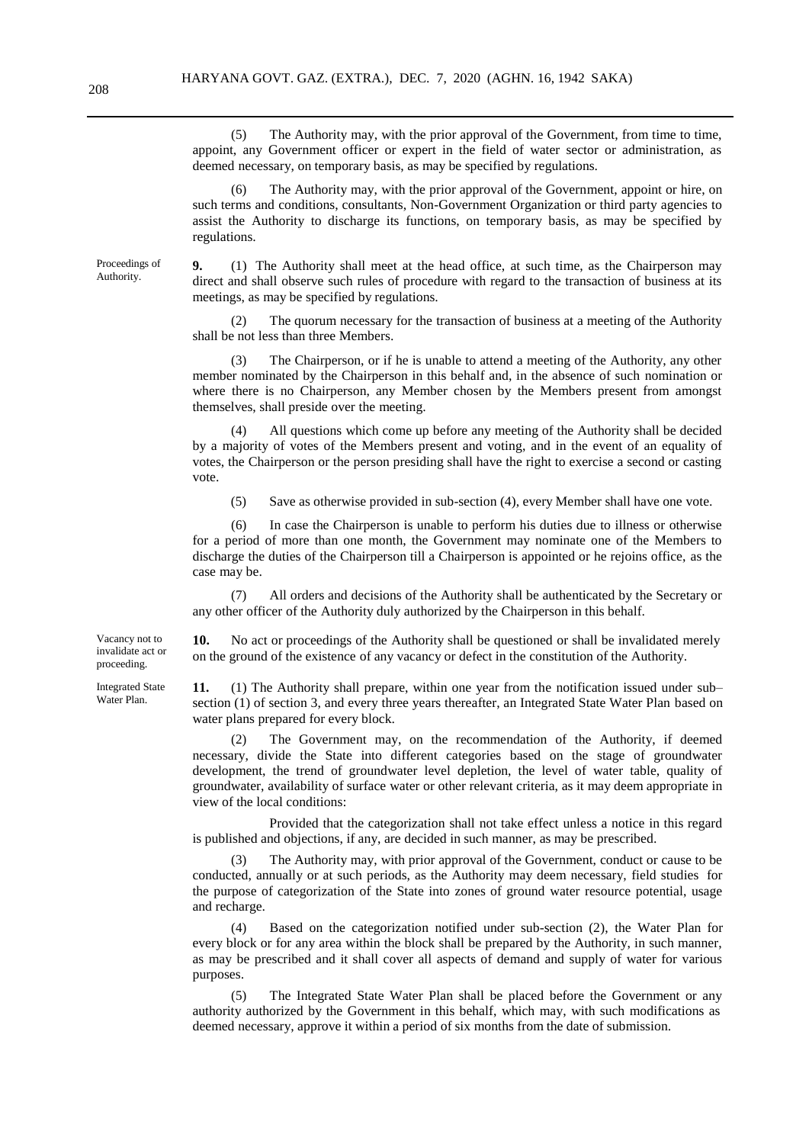(5) The Authority may, with the prior approval of the Government, from time to time, appoint, any Government officer or expert in the field of water sector or administration, as deemed necessary, on temporary basis, as may be specified by regulations.

(6) The Authority may, with the prior approval of the Government, appoint or hire, on such terms and conditions, consultants, Non-Government Organization or third party agencies to assist the Authority to discharge its functions, on temporary basis, as may be specified by regulations.

**9.** (1) The Authority shall meet at the head office, at such time, as the Chairperson may direct and shall observe such rules of procedure with regard to the transaction of business at its meetings, as may be specified by regulations.

(2) The quorum necessary for the transaction of business at a meeting of the Authority shall be not less than three Members.

(3) The Chairperson, or if he is unable to attend a meeting of the Authority, any other member nominated by the Chairperson in this behalf and, in the absence of such nomination or where there is no Chairperson, any Member chosen by the Members present from amongst themselves, shall preside over the meeting.

(4) All questions which come up before any meeting of the Authority shall be decided by a majority of votes of the Members present and voting, and in the event of an equality of votes, the Chairperson or the person presiding shall have the right to exercise a second or casting vote.

(5) Save as otherwise provided in sub-section (4), every Member shall have one vote.

(6) In case the Chairperson is unable to perform his duties due to illness or otherwise for a period of more than one month, the Government may nominate one of the Members to discharge the duties of the Chairperson till a Chairperson is appointed or he rejoins office, as the case may be.

(7) All orders and decisions of the Authority shall be authenticated by the Secretary or any other officer of the Authority duly authorized by the Chairperson in this behalf.

**10.** No act or proceedings of the Authority shall be questioned or shall be invalidated merely on the ground of the existence of any vacancy or defect in the constitution of the Authority.

**11.** (1) The Authority shall prepare, within one year from the notification issued under sub– section (1) of section 3, and every three years thereafter, an Integrated State Water Plan based on water plans prepared for every block.

(2) The Government may, on the recommendation of the Authority, if deemed necessary, divide the State into different categories based on the stage of groundwater development, the trend of groundwater level depletion, the level of water table, quality of groundwater, availability of surface water or other relevant criteria, as it may deem appropriate in view of the local conditions:

Provided that the categorization shall not take effect unless a notice in this regard is published and objections, if any, are decided in such manner, as may be prescribed.

(3) The Authority may, with prior approval of the Government, conduct or cause to be conducted, annually or at such periods, as the Authority may deem necessary, field studies for the purpose of categorization of the State into zones of ground water resource potential, usage and recharge.

(4) Based on the categorization notified under sub-section (2), the Water Plan for every block or for any area within the block shall be prepared by the Authority, in such manner, as may be prescribed and it shall cover all aspects of demand and supply of water for various purposes.

(5) The Integrated State Water Plan shall be placed before the Government or any authority authorized by the Government in this behalf, which may, with such modifications as deemed necessary, approve it within a period of six months from the date of submission.

Vacancy not to invalidate act or proceeding.

Integrated State Water Plan.

Proceedings of Authority.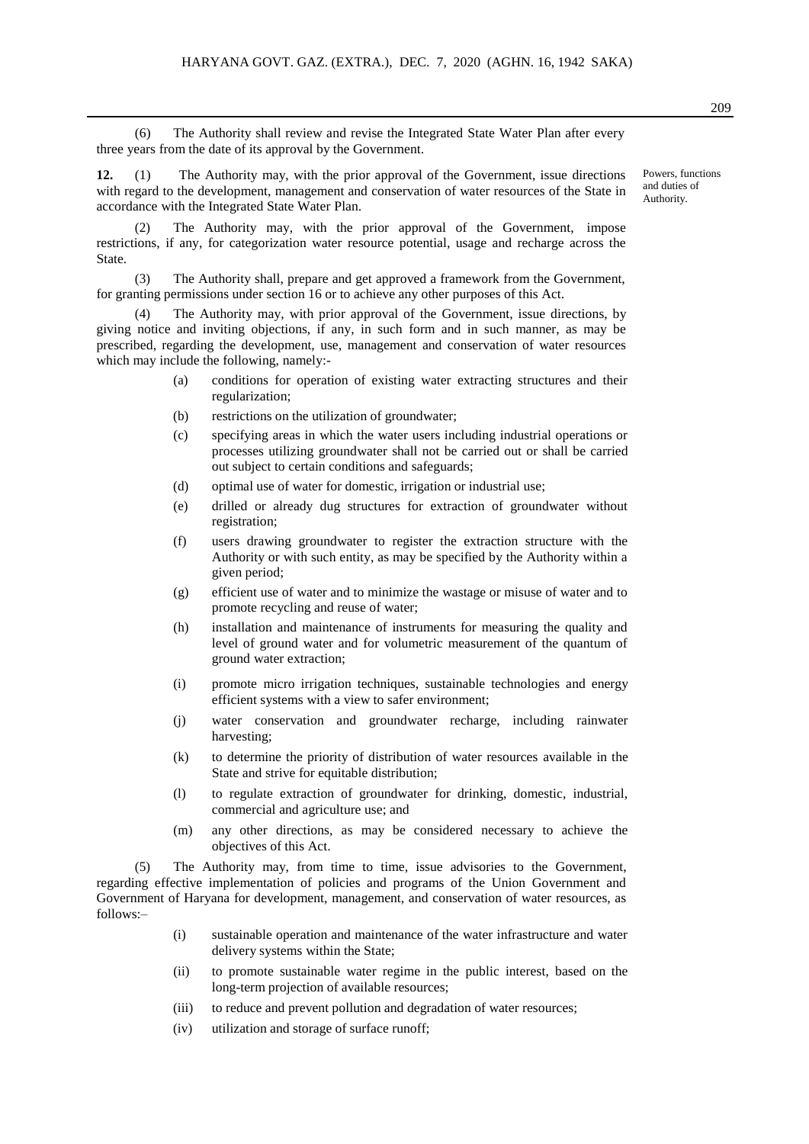(6) The Authority shall review and revise the Integrated State Water Plan after every three years from the date of its approval by the Government.

**12.** (1) The Authority may, with the prior approval of the Government, issue directions with regard to the development, management and conservation of water resources of the State in accordance with the Integrated State Water Plan.

(2) The Authority may, with the prior approval of the Government, impose restrictions, if any, for categorization water resource potential, usage and recharge across the State.

(3) The Authority shall, prepare and get approved a framework from the Government, for granting permissions under section 16 or to achieve any other purposes of this Act.

(4) The Authority may, with prior approval of the Government, issue directions, by giving notice and inviting objections, if any, in such form and in such manner, as may be prescribed, regarding the development, use, management and conservation of water resources which may include the following, namely:-

- (a) conditions for operation of existing water extracting structures and their regularization;
- (b) restrictions on the utilization of groundwater;
- (c) specifying areas in which the water users including industrial operations or processes utilizing groundwater shall not be carried out or shall be carried out subject to certain conditions and safeguards;
- (d) optimal use of water for domestic, irrigation or industrial use;
- (e) drilled or already dug structures for extraction of groundwater without registration;
- (f) users drawing groundwater to register the extraction structure with the Authority or with such entity, as may be specified by the Authority within a given period;
- (g) efficient use of water and to minimize the wastage or misuse of water and to promote recycling and reuse of water;
- (h) installation and maintenance of instruments for measuring the quality and level of ground water and for volumetric measurement of the quantum of ground water extraction;
- (i) promote micro irrigation techniques, sustainable technologies and energy efficient systems with a view to safer environment;
- (j) water conservation and groundwater recharge, including rainwater harvesting;
- (k) to determine the priority of distribution of water resources available in the State and strive for equitable distribution;
- (l) to regulate extraction of groundwater for drinking, domestic, industrial, commercial and agriculture use; and
- (m) any other directions, as may be considered necessary to achieve the objectives of this Act.

(5) The Authority may, from time to time, issue advisories to the Government, regarding effective implementation of policies and programs of the Union Government and Government of Haryana for development, management, and conservation of water resources, as follows:–

- (i) sustainable operation and maintenance of the water infrastructure and water delivery systems within the State;
- (ii) to promote sustainable water regime in the public interest, based on the long-term projection of available resources;
- (iii) to reduce and prevent pollution and degradation of water resources;
- (iv) utilization and storage of surface runoff;

Powers, functions and duties of Authority.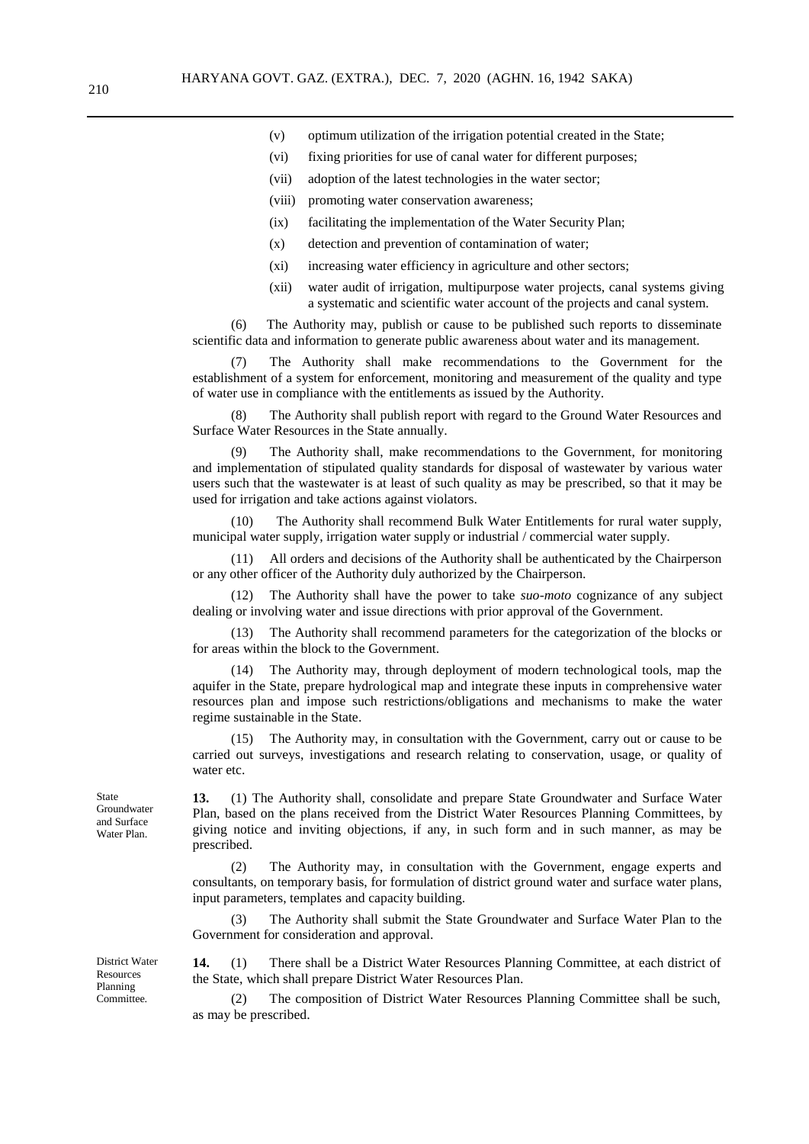- (v) optimum utilization of the irrigation potential created in the State;
- (vi) fixing priorities for use of canal water for different purposes;
- (vii) adoption of the latest technologies in the water sector;
- (viii) promoting water conservation awareness;
- (ix) facilitating the implementation of the Water Security Plan;
- (x) detection and prevention of contamination of water;
- (xi) increasing water efficiency in agriculture and other sectors;
- (xii) water audit of irrigation, multipurpose water projects, canal systems giving a systematic and scientific water account of the projects and canal system.

(6) The Authority may, publish or cause to be published such reports to disseminate scientific data and information to generate public awareness about water and its management.

(7) The Authority shall make recommendations to the Government for the establishment of a system for enforcement, monitoring and measurement of the quality and type of water use in compliance with the entitlements as issued by the Authority.

(8) The Authority shall publish report with regard to the Ground Water Resources and Surface Water Resources in the State annually.

(9) The Authority shall, make recommendations to the Government, for monitoring and implementation of stipulated quality standards for disposal of wastewater by various water users such that the wastewater is at least of such quality as may be prescribed, so that it may be used for irrigation and take actions against violators.

(10) The Authority shall recommend Bulk Water Entitlements for rural water supply, municipal water supply, irrigation water supply or industrial / commercial water supply.

(11) All orders and decisions of the Authority shall be authenticated by the Chairperson or any other officer of the Authority duly authorized by the Chairperson.

(12) The Authority shall have the power to take *suo-moto* cognizance of any subject dealing or involving water and issue directions with prior approval of the Government.

(13) The Authority shall recommend parameters for the categorization of the blocks or for areas within the block to the Government.

(14) The Authority may, through deployment of modern technological tools, map the aquifer in the State, prepare hydrological map and integrate these inputs in comprehensive water resources plan and impose such restrictions/obligations and mechanisms to make the water regime sustainable in the State.

The Authority may, in consultation with the Government, carry out or cause to be carried out surveys, investigations and research relating to conservation, usage, or quality of water etc.

**13.** (1) The Authority shall, consolidate and prepare State Groundwater and Surface Water Plan, based on the plans received from the District Water Resources Planning Committees, by giving notice and inviting objections, if any, in such form and in such manner, as may be prescribed.

(2) The Authority may, in consultation with the Government, engage experts and consultants, on temporary basis, for formulation of district ground water and surface water plans, input parameters, templates and capacity building.

(3) The Authority shall submit the State Groundwater and Surface Water Plan to the Government for consideration and approval.

**14.** (1) There shall be a District Water Resources Planning Committee, at each district of the State, which shall prepare District Water Resources Plan.

(2) The composition of District Water Resources Planning Committee shall be such, as may be prescribed.

State Groundwater and Surface Water Plan.

District Water Resources Planning Committee.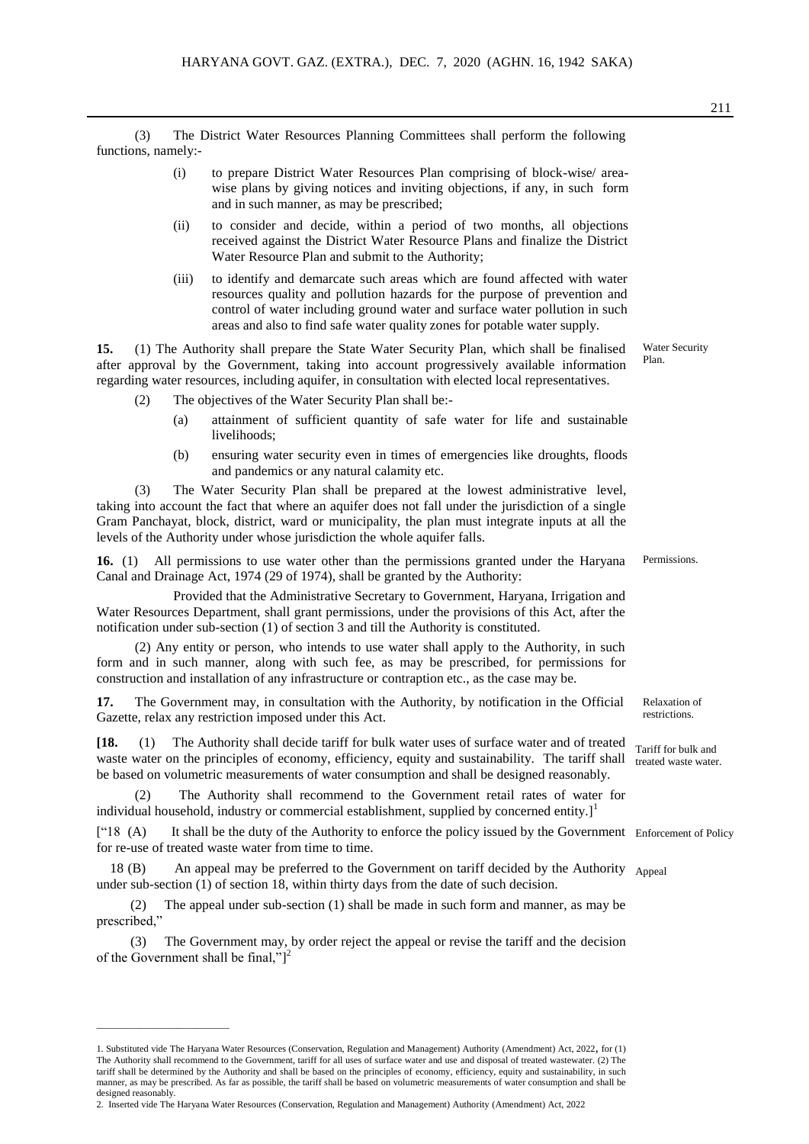(3) The District Water Resources Planning Committees shall perform the following functions, namely:-

- (i) to prepare District Water Resources Plan comprising of block-wise/ areawise plans by giving notices and inviting objections, if any, in such form and in such manner, as may be prescribed;
- (ii) to consider and decide, within a period of two months, all objections received against the District Water Resource Plans and finalize the District Water Resource Plan and submit to the Authority;
- (iii) to identify and demarcate such areas which are found affected with water resources quality and pollution hazards for the purpose of prevention and control of water including ground water and surface water pollution in such areas and also to find safe water quality zones for potable water supply.

**15.** (1) The Authority shall prepare the State Water Security Plan, which shall be finalised after approval by the Government, taking into account progressively available information regarding water resources, including aquifer, in consultation with elected local representatives.

- (2) The objectives of the Water Security Plan shall be:-
	- (a) attainment of sufficient quantity of safe water for life and sustainable livelihoods;
	- (b) ensuring water security even in times of emergencies like droughts, floods and pandemics or any natural calamity etc.

(3) The Water Security Plan shall be prepared at the lowest administrative level, taking into account the fact that where an aquifer does not fall under the jurisdiction of a single Gram Panchayat, block, district, ward or municipality, the plan must integrate inputs at all the levels of the Authority under whose jurisdiction the whole aquifer falls.

**16.** (1) All permissions to use water other than the permissions granted under the Haryana Canal and Drainage Act, 1974 (29 of 1974), shall be granted by the Authority:

Provided that the Administrative Secretary to Government, Haryana, Irrigation and Water Resources Department, shall grant permissions, under the provisions of this Act, after the notification under sub-section (1) of section 3 and till the Authority is constituted.

(2) Any entity or person, who intends to use water shall apply to the Authority, in such form and in such manner, along with such fee, as may be prescribed, for permissions for construction and installation of any infrastructure or contraption etc., as the case may be.

**17.** The Government may, in consultation with the Authority, by notification in the Official Gazette, relax any restriction imposed under this Act.

**[18.** (1) The Authority shall decide tariff for bulk water uses of surface water and of treated Tariff for bulk and waste water on the principles of economy, efficiency, equity and sustainability. The tariff shall treated waste water. be based on volumetric measurements of water consumption and shall be designed reasonably.

(2) The Authority shall recommend to the Government retail rates of water for individual household, industry or commercial establishment, supplied by concerned entity.]<sup>1</sup>

["18 (A) It shall be the duty of the Authority to enforce the policy issued by the Government Enforcement of Policy for re-use of treated waste water from time to time.

18 (B) An appeal may be preferred to the Government on tariff decided by the Authority Appeal under sub-section (1) of section 18, within thirty days from the date of such decision.

 (2) The appeal under sub-section (1) shall be made in such form and manner, as may be prescribed,"

 (3) The Government may, by order reject the appeal or revise the tariff and the decision of the Government shall be final," $]^{2}$ 

2. Inserted vide The Haryana Water Resources (Conservation, Regulation and Management) Authority (Amendment) Act, 2022

 $\frac{1}{2}$  ,  $\frac{1}{2}$  ,  $\frac{1}{2}$  ,  $\frac{1}{2}$  ,  $\frac{1}{2}$  ,  $\frac{1}{2}$  ,  $\frac{1}{2}$  ,  $\frac{1}{2}$  ,  $\frac{1}{2}$  ,  $\frac{1}{2}$  ,  $\frac{1}{2}$  ,  $\frac{1}{2}$  ,  $\frac{1}{2}$  ,  $\frac{1}{2}$  ,  $\frac{1}{2}$  ,  $\frac{1}{2}$  ,  $\frac{1}{2}$  ,  $\frac{1}{2}$  ,  $\frac{1$ 

Water Security Plan.

Relaxation of

restrictions.

Permissions.

<sup>1.</sup> Substituted vide The Haryana Water Resources (Conservation, Regulation and Management) Authority (Amendment) Act, 2022, for (1) The Authority shall recommend to the Government, tariff for all uses of surface water and use and disposal of treated wastewater. (2) The tariff shall be determined by the Authority and shall be based on the principles of economy, efficiency, equity and sustainability, in such manner, as may be prescribed. As far as possible, the tariff shall be based on volumetric measurements of water consumption and shall be designed reasonably.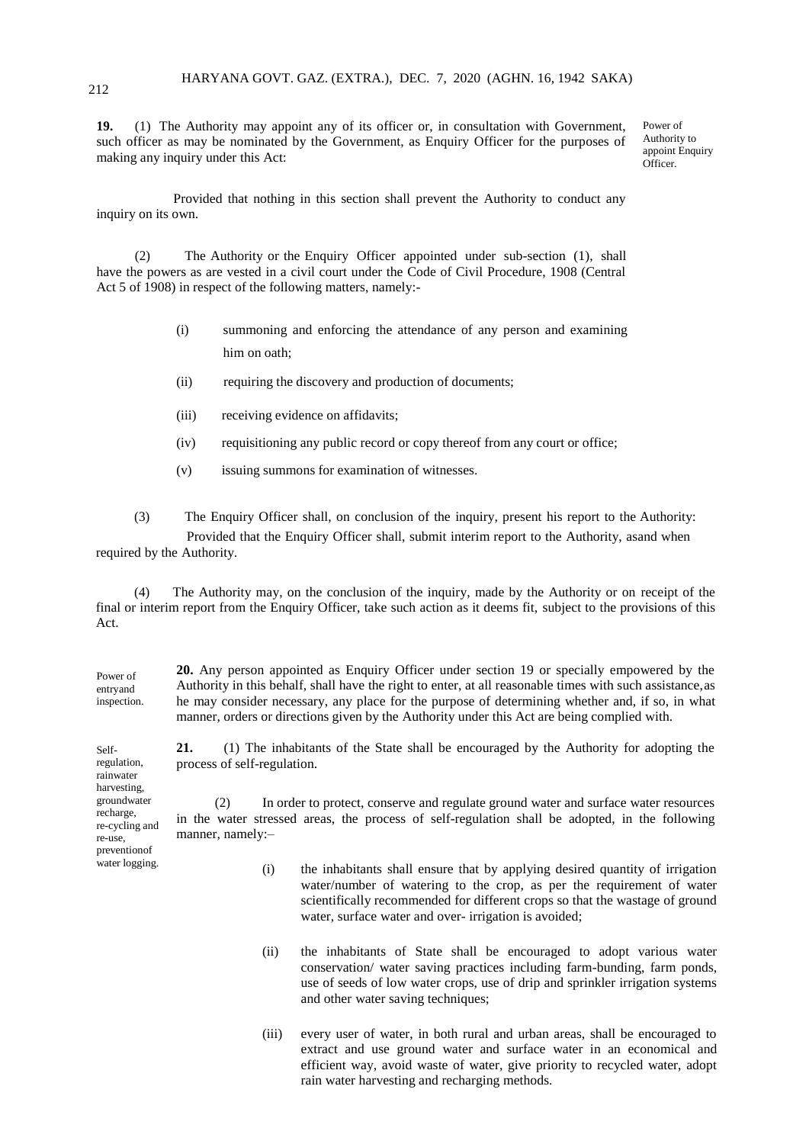**19.** (1) The Authority may appoint any of its officer or, in consultation with Government, such officer as may be nominated by the Government, as Enquiry Officer for the purposes of making any inquiry under this Act:

Power of Authority to appoint Enquiry Officer.

Provided that nothing in this section shall prevent the Authority to conduct any inquiry on its own.

(2) The Authority or the Enquiry Officer appointed under sub-section (1), shall have the powers as are vested in a civil court under the Code of Civil Procedure, 1908 (Central Act 5 of 1908) in respect of the following matters, namely:-

- (i) summoning and enforcing the attendance of any person and examining him on oath;
- (ii) requiring the discovery and production of documents;
- (iii) receiving evidence on affidavits;
- (iv) requisitioning any public record or copy thereof from any court or office;
- (v) issuing summons for examination of witnesses.

(3) The Enquiry Officer shall, on conclusion of the inquiry, present his report to the Authority:

 Provided that the Enquiry Officer shall, submit interim report to the Authority, asand when required by the Authority.

(4) The Authority may, on the conclusion of the inquiry, made by the Authority or on receipt of the final or interim report from the Enquiry Officer, take such action as it deems fit, subject to the provisions of this Act.

Power of entryand inspection. **20.** Any person appointed as Enquiry Officer under section 19 or specially empowered by the Authority in this behalf, shall have the right to enter, at all reasonable times with such assistance,as he may consider necessary, any place for the purpose of determining whether and, if so, in what manner, orders or directions given by the Authority under this Act are being complied with.

**21.** (1) The inhabitants of the State shall be encouraged by the Authority for adopting the process of self-regulation.

regulation, rainwater harvesting, groundwater recharge, re-cycling and re-use, preventionof water logging.

Self-

(2) In order to protect, conserve and regulate ground water and surface water resources in the water stressed areas, the process of self-regulation shall be adopted, in the following manner, namely:–

- (i) the inhabitants shall ensure that by applying desired quantity of irrigation water/number of watering to the crop, as per the requirement of water scientifically recommended for different crops so that the wastage of ground water, surface water and over- irrigation is avoided;
- (ii) the inhabitants of State shall be encouraged to adopt various water conservation/ water saving practices including farm-bunding, farm ponds, use of seeds of low water crops, use of drip and sprinkler irrigation systems and other water saving techniques;
- (iii) every user of water, in both rural and urban areas, shall be encouraged to extract and use ground water and surface water in an economical and efficient way, avoid waste of water, give priority to recycled water, adopt rain water harvesting and recharging methods.

212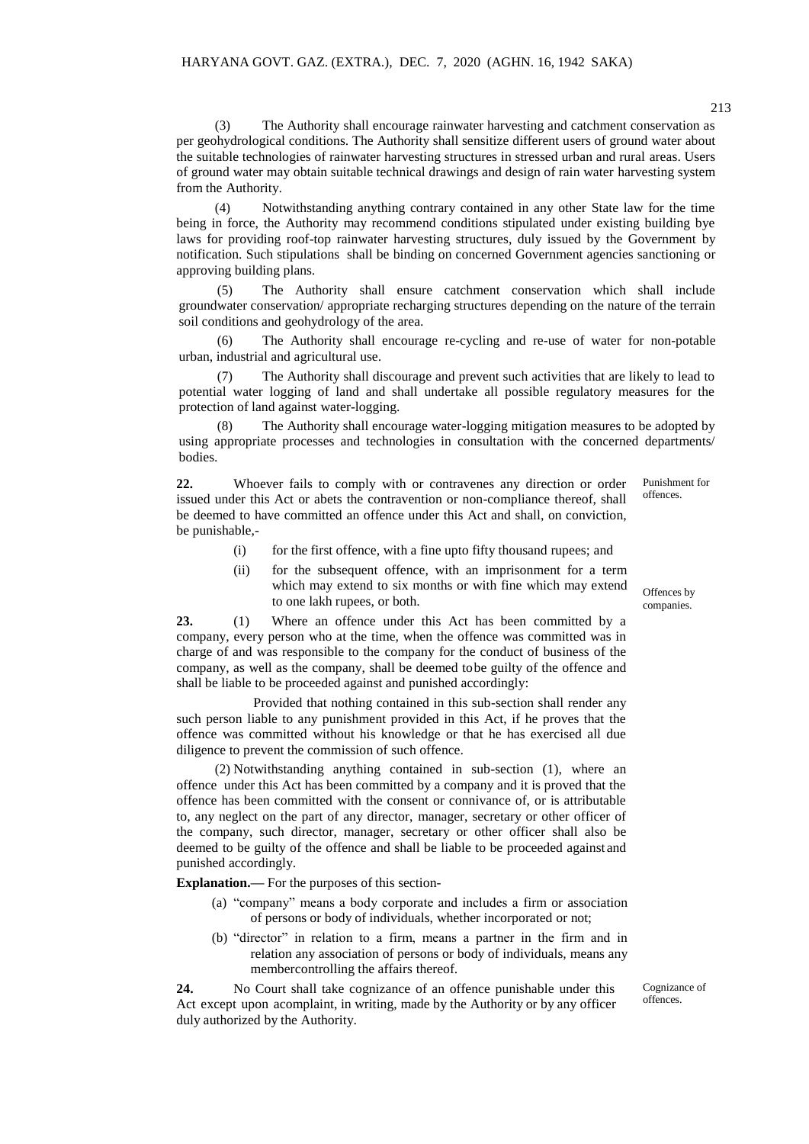(3) The Authority shall encourage rainwater harvesting and catchment conservation as per geohydrological conditions. The Authority shall sensitize different users of ground water about the suitable technologies of rainwater harvesting structures in stressed urban and rural areas. Users of ground water may obtain suitable technical drawings and design of rain water harvesting system from the Authority.

(4) Notwithstanding anything contrary contained in any other State law for the time being in force, the Authority may recommend conditions stipulated under existing building bye laws for providing roof-top rainwater harvesting structures, duly issued by the Government by notification. Such stipulations shall be binding on concerned Government agencies sanctioning or approving building plans.

(5) The Authority shall ensure catchment conservation which shall include groundwater conservation/ appropriate recharging structures depending on the nature of the terrain soil conditions and geohydrology of the area.

(6) The Authority shall encourage re-cycling and re-use of water for non-potable urban, industrial and agricultural use.

(7) The Authority shall discourage and prevent such activities that are likely to lead to potential water logging of land and shall undertake all possible regulatory measures for the protection of land against water-logging.

The Authority shall encourage water-logging mitigation measures to be adopted by using appropriate processes and technologies in consultation with the concerned departments/ bodies.

**22.** Whoever fails to comply with or contravenes any direction or order issued under this Act or abets the contravention or non-compliance thereof, shall be deemed to have committed an offence under this Act and shall, on conviction, be punishable,- Punishment for offences.

- (i) for the first offence, with a fine upto fifty thousand rupees; and
- (ii) for the subsequent offence, with an imprisonment for a term which may extend to six months or with fine which may extend to one lakh rupees, or both.

**23.** (1) Where an offence under this Act has been committed by a company, every person who at the time, when the offence was committed was in charge of and was responsible to the company for the conduct of business of the company, as well as the company, shall be deemed tobe guilty of the offence and shall be liable to be proceeded against and punished accordingly:

Provided that nothing contained in this sub-section shall render any such person liable to any punishment provided in this Act, if he proves that the offence was committed without his knowledge or that he has exercised all due diligence to prevent the commission of such offence.

(2) Notwithstanding anything contained in sub-section (1), where an offence under this Act has been committed by a company and it is proved that the offence has been committed with the consent or connivance of, or is attributable to, any neglect on the part of any director, manager, secretary or other officer of the company, such director, manager, secretary or other officer shall also be deemed to be guilty of the offence and shall be liable to be proceeded against and punished accordingly.

**Explanation.—** For the purposes of this section-

- (a) "company" means a body corporate and includes a firm or association of persons or body of individuals, whether incorporated or not;
- (b) "director" in relation to a firm, means a partner in the firm and in relation any association of persons or body of individuals, means any membercontrolling the affairs thereof.

**24.** No Court shall take cognizance of an offence punishable under this Act except upon acomplaint, in writing, made by the Authority or by any officer duly authorized by the Authority.

Cognizance of offences.

Offences by companies.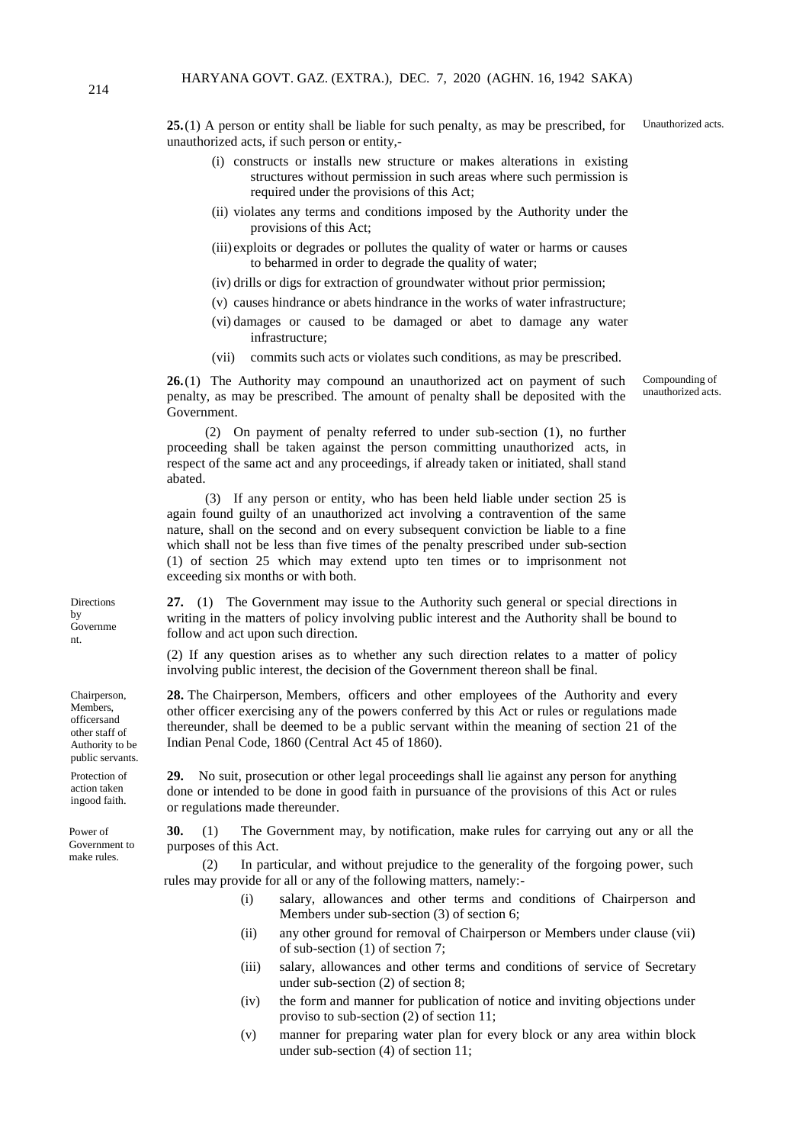**25.**(1) A person or entity shall be liable for such penalty, as may be prescribed, for unauthorized acts, if such person or entity,-

- (i) constructs or installs new structure or makes alterations in existing structures without permission in such areas where such permission is required under the provisions of this Act;
- (ii) violates any terms and conditions imposed by the Authority under the provisions of this Act;
- (iii) exploits or degrades or pollutes the quality of water or harms or causes to beharmed in order to degrade the quality of water;
- (iv) drills or digs for extraction of groundwater without prior permission;
- (v) causes hindrance or abets hindrance in the works of water infrastructure;
- (vi) damages or caused to be damaged or abet to damage any water infrastructure;
- (vii) commits such acts or violates such conditions, as may be prescribed.

**26.**(1) The Authority may compound an unauthorized act on payment of such penalty, as may be prescribed. The amount of penalty shall be deposited with the Government.

(2) On payment of penalty referred to under sub-section (1), no further proceeding shall be taken against the person committing unauthorized acts, in respect of the same act and any proceedings, if already taken or initiated, shall stand abated.

(3) If any person or entity, who has been held liable under section 25 is again found guilty of an unauthorized act involving a contravention of the same nature, shall on the second and on every subsequent conviction be liable to a fine which shall not be less than five times of the penalty prescribed under sub-section (1) of section 25 which may extend upto ten times or to imprisonment not exceeding six months or with both.

**27.** (1) The Government may issue to the Authority such general or special directions in writing in the matters of policy involving public interest and the Authority shall be bound to follow and act upon such direction.

(2) If any question arises as to whether any such direction relates to a matter of policy involving public interest, the decision of the Government thereon shall be final.

**28.** The Chairperson, Members, officers and other employees of the Authority and every other officer exercising any of the powers conferred by this Act or rules or regulations made thereunder, shall be deemed to be a public servant within the meaning of section 21 of the Indian Penal Code, 1860 (Central Act 45 of 1860).

**29.** No suit, prosecution or other legal proceedings shall lie against any person for anything done or intended to be done in good faith in pursuance of the provisions of this Act or rules or regulations made thereunder.

**30.** (1) The Government may, by notification, make rules for carrying out any or all the purposes of this Act.

(2) In particular, and without prejudice to the generality of the forgoing power, such rules may provide for all or any of the following matters, namely:-

- (i) salary, allowances and other terms and conditions of Chairperson and Members under sub-section (3) of section 6;
- (ii) any other ground for removal of Chairperson or Members under clause (vii) of sub-section (1) of section 7;
- (iii) salary, allowances and other terms and conditions of service of Secretary under sub-section (2) of section 8;
- (iv) the form and manner for publication of notice and inviting objections under proviso to sub-section (2) of section 11;
- (v) manner for preparing water plan for every block or any area within block under sub-section (4) of section 11;

Directions by Governme nt.

Chairperson, Members, officersand other staff of Authority to be public servants.

Protection of action taken ingood faith.

Power of Government to make rules.

Unauthorized acts.

Compounding of unauthorized acts.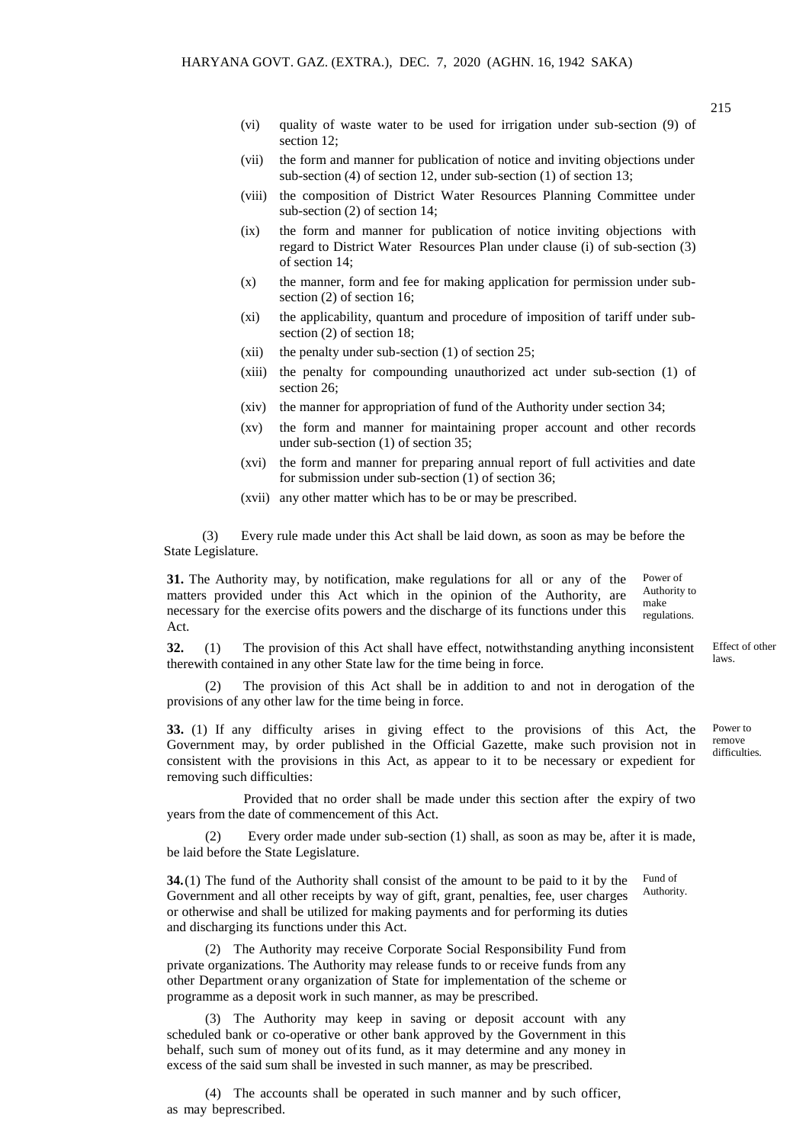- (vi) quality of waste water to be used for irrigation under sub-section (9) of section 12;
- (vii) the form and manner for publication of notice and inviting objections under sub-section (4) of section 12, under sub-section (1) of section 13;
- (viii) the composition of District Water Resources Planning Committee under sub-section (2) of section 14;
- (ix) the form and manner for publication of notice inviting objections with regard to District Water Resources Plan under clause (i) of sub-section (3) of section 14;
- (x) the manner, form and fee for making application for permission under subsection (2) of section 16;
- (xi) the applicability, quantum and procedure of imposition of tariff under subsection (2) of section 18;
- (xii) the penalty under sub-section (1) of section 25;
- (xiii) the penalty for compounding unauthorized act under sub-section (1) of section 26;
- (xiv) the manner for appropriation of fund of the Authority under section 34;
- (xv) the form and manner for maintaining proper account and other records under sub-section (1) of section 35;
- (xvi) the form and manner for preparing annual report of full activities and date for submission under sub-section (1) of section 36;
- (xvii) any other matter which has to be or may be prescribed.

(3) Every rule made under this Act shall be laid down, as soon as may be before the State Legislature.

**31.** The Authority may, by notification, make regulations for all or any of the matters provided under this Act which in the opinion of the Authority, are necessary for the exercise ofits powers and the discharge of its functions under this Act. Power of Authority to make regulations.

**32.** (1) The provision of this Act shall have effect, notwithstanding anything inconsistent therewith contained in any other State law for the time being in force.

(2) The provision of this Act shall be in addition to and not in derogation of the provisions of any other law for the time being in force.

**33.** (1) If any difficulty arises in giving effect to the provisions of this Act, the Government may, by order published in the Official Gazette, make such provision not in consistent with the provisions in this Act, as appear to it to be necessary or expedient for removing such difficulties:

Provided that no order shall be made under this section after the expiry of two years from the date of commencement of this Act.

(2) Every order made under sub-section (1) shall, as soon as may be, after it is made, be laid before the State Legislature.

**34.**(1) The fund of the Authority shall consist of the amount to be paid to it by the Government and all other receipts by way of gift, grant, penalties, fee, user charges or otherwise and shall be utilized for making payments and for performing its duties and discharging its functions under this Act. Fund of Authority.

(2) The Authority may receive Corporate Social Responsibility Fund from private organizations. The Authority may release funds to or receive funds from any other Department orany organization of State for implementation of the scheme or programme as a deposit work in such manner, as may be prescribed.

(3) The Authority may keep in saving or deposit account with any scheduled bank or co-operative or other bank approved by the Government in this behalf, such sum of money out ofits fund, as it may determine and any money in excess of the said sum shall be invested in such manner, as may be prescribed.

(4) The accounts shall be operated in such manner and by such officer, as may beprescribed.

laws.

Effect of other

Power to remove difficulties.